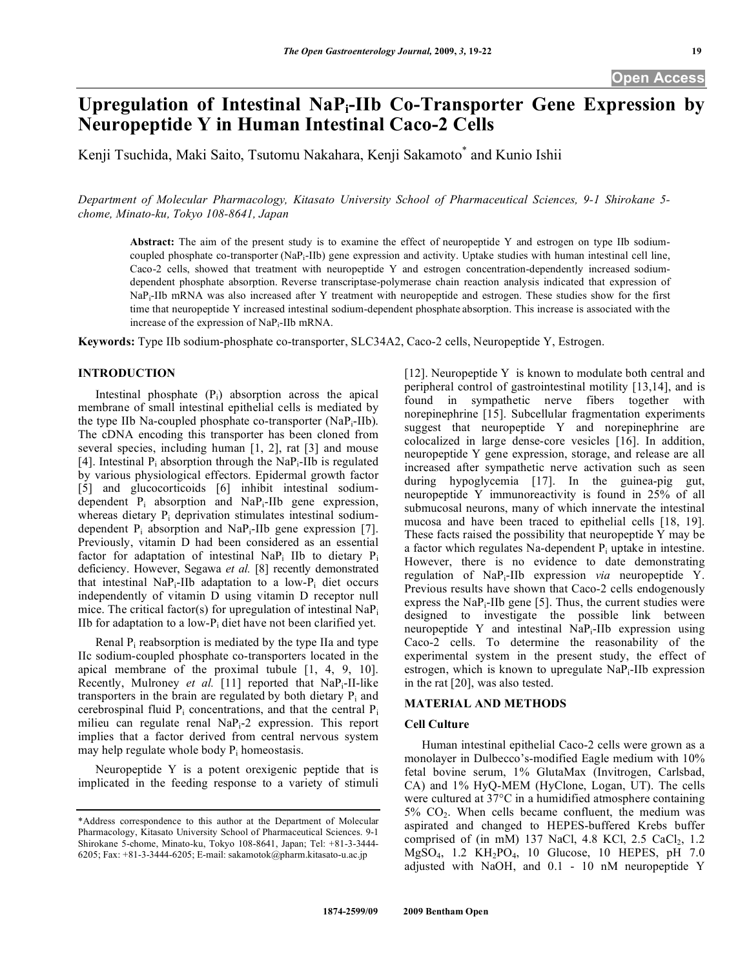# **Upregulation of Intestinal NaPi-IIb Co-Transporter Gene Expression by Neuropeptide Y in Human Intestinal Caco-2 Cells**

Kenji Tsuchida, Maki Saito, Tsutomu Nakahara, Kenji Sakamoto<sup>\*</sup> and Kunio Ishii

*Department of Molecular Pharmacology, Kitasato University School of Pharmaceutical Sciences, 9-1 Shirokane 5 chome, Minato-ku, Tokyo 108-8641, Japan* 

**Abstract:** The aim of the present study is to examine the effect of neuropeptide Y and estrogen on type IIb sodiumcoupled phosphate co-transporter (NaPi-IIb) gene expression and activity. Uptake studies with human intestinal cell line, Caco-2 cells, showed that treatment with neuropeptide Y and estrogen concentration-dependently increased sodiumdependent phosphate absorption. Reverse transcriptase-polymerase chain reaction analysis indicated that expression of NaP<sub>i</sub>-IIb mRNA was also increased after Y treatment with neuropeptide and estrogen. These studies show for the first time that neuropeptide Y increased intestinal sodium-dependent phosphate absorption. This increase is associated with the increase of the expression of NaPi-IIb mRNA.

**Keywords:** Type IIb sodium-phosphate co-transporter, SLC34A2, Caco-2 cells, Neuropeptide Y, Estrogen.

## **INTRODUCTION**

Intestinal phosphate  $(P_i)$  absorption across the apical membrane of small intestinal epithelial cells is mediated by the type IIb Na-coupled phosphate co-transporter (NaP<sub>i</sub>-IIb). The cDNA encoding this transporter has been cloned from several species, including human [1, 2], rat [3] and mouse [4]. Intestinal  $P_i$  absorption through the NaP<sub>i</sub>-IIb is regulated by various physiological effectors. Epidermal growth factor [5] and glucocorticoids [6] inhibit intestinal sodiumdependent Pi absorption and NaPi-IIb gene expression, whereas dietary  $P_i$  deprivation stimulates intestinal sodiumdependent  $P_i$  absorption and NaP<sub>i</sub>-IIb gene expression [7]. Previously, vitamin D had been considered as an essential factor for adaptation of intestinal NaP<sub>i</sub> IIb to dietary P<sub>i</sub> deficiency. However, Segawa *et al.* [8] recently demonstrated that intestinal NaP<sub>i</sub>-IIb adaptation to a low-P<sub>i</sub> diet occurs independently of vitamin D using vitamin D receptor null mice. The critical factor(s) for upregulation of intestinal NaPi IIb for adaptation to a low- $P_i$  diet have not been clarified yet.

Renal  $P_i$  reabsorption is mediated by the type IIa and type IIc sodium-coupled phosphate co-transporters located in the apical membrane of the proximal tubule [1, 4, 9, 10]. Recently, Mulroney *et al.* [11] reported that NaPi-II-like transporters in the brain are regulated by both dietary  $P_i$  and cerebrospinal fluid  $P_i$  concentrations, and that the central  $P_i$ milieu can regulate renal NaPi-2 expression. This report implies that a factor derived from central nervous system may help regulate whole body  $P_i$  homeostasis.

 Neuropeptide Y is a potent orexigenic peptide that is implicated in the feeding response to a variety of stimuli [12]. Neuropeptide Y is known to modulate both central and peripheral control of gastrointestinal motility [13,14], and is found in sympathetic nerve fibers together with norepinephrine [15]. Subcellular fragmentation experiments suggest that neuropeptide Y and norepinephrine are colocalized in large dense-core vesicles [16]. In addition, neuropeptide Y gene expression, storage, and release are all increased after sympathetic nerve activation such as seen during hypoglycemia [17]. In the guinea-pig gut, neuropeptide Y immunoreactivity is found in 25% of all submucosal neurons, many of which innervate the intestinal mucosa and have been traced to epithelial cells [18, 19]. These facts raised the possibility that neuropeptide Y may be a factor which regulates Na-dependent  $P_i$  uptake in intestine. However, there is no evidence to date demonstrating regulation of NaPi-IIb expression *via* neuropeptide Y. Previous results have shown that Caco-2 cells endogenously express the  $NaP_i$ -IIb gene [5]. Thus, the current studies were designed to investigate the possible link between neuropeptide Y and intestinal  $NaP_i$ -IIb expression using Caco-2 cells. To determine the reasonability of the experimental system in the present study, the effect of estrogen, which is known to upregulate  $\text{NaP}_i$ -IIb expression in the rat [20], was also tested.

# **MATERIAL AND METHODS**

## **Cell Culture**

 Human intestinal epithelial Caco-2 cells were grown as a monolayer in Dulbecco's-modified Eagle medium with 10% fetal bovine serum, 1% GlutaMax (Invitrogen, Carlsbad, CA) and 1% HyQ-MEM (HyClone, Logan, UT). The cells were cultured at 37°C in a humidified atmosphere containing  $5\%$  CO<sub>2</sub>. When cells became confluent, the medium was aspirated and changed to HEPES-buffered Krebs buffer comprised of (in mM) 137 NaCl, 4.8 KCl, 2.5 CaCl<sub>2</sub>, 1.2 MgSO4, 1.2 KH2PO4, 10 Glucose, 10 HEPES, pH 7.0 adjusted with NaOH, and 0.1 - 10 nM neuropeptide Y

<sup>\*</sup>Address correspondence to this author at the Department of Molecular Pharmacology, Kitasato University School of Pharmaceutical Sciences. 9-1 Shirokane 5-chome, Minato-ku, Tokyo 108-8641, Japan; Tel: +81-3-3444- 6205; Fax: +81-3-3444-6205; E-mail: sakamotok@pharm.kitasato-u.ac.jp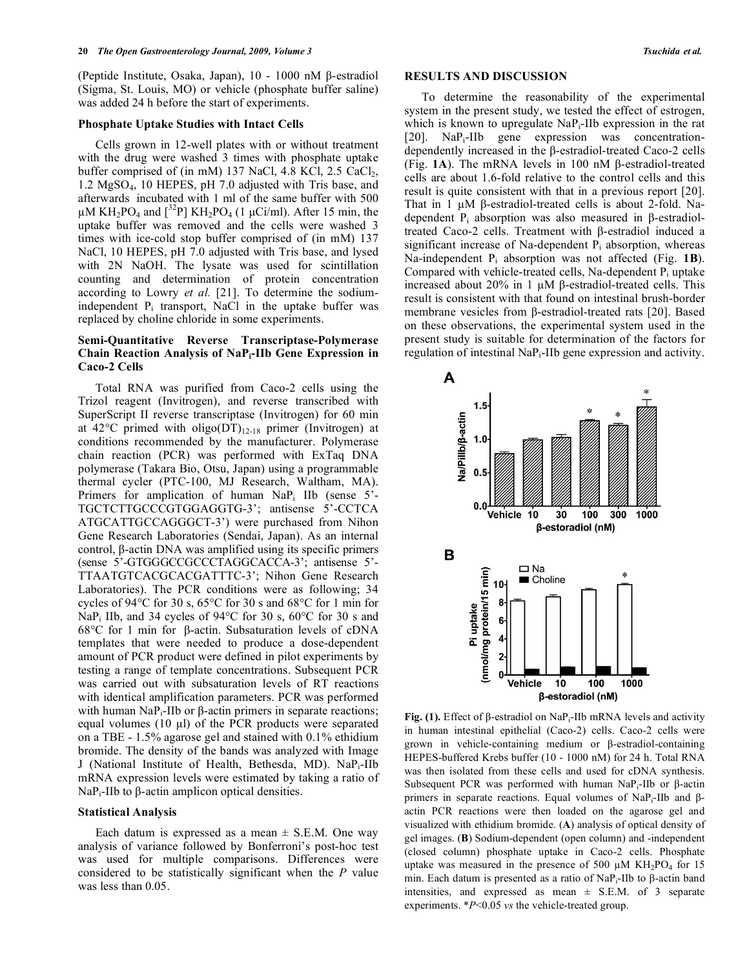(Peptide Institute, Osaka, Japan),  $10 - 1000$  nM  $\beta$ -estradiol (Sigma, St. Louis, MO) or vehicle (phosphate buffer saline) was added 24 h before the start of experiments.

#### **Phosphate Uptake Studies with Intact Cells**

 Cells grown in 12-well plates with or without treatment with the drug were washed 3 times with phosphate uptake buffer comprised of (in mM) 137 NaCl, 4.8 KCl, 2.5 CaCl<sub>2</sub>, 1.2 MgSO4, 10 HEPES, pH 7.0 adjusted with Tris base, and afterwards incubated with 1 ml of the same buffer with 500  $\mu$ M KH<sub>2</sub>PO<sub>4</sub> and <sup>32</sup>P] KH<sub>2</sub>PO<sub>4</sub> (1  $\mu$ Ci/ml). After 15 min, the uptake buffer was removed and the cells were washed 3 times with ice-cold stop buffer comprised of (in mM) 137 NaCl, 10 HEPES, pH 7.0 adjusted with Tris base, and lysed with 2N NaOH. The lysate was used for scintillation counting and determination of protein concentration according to Lowry *et al.* [21]. To determine the sodiumindependent  $P_i$  transport, NaCl in the uptake buffer was replaced by choline chloride in some experiments.

## **Semi-Quantitative Reverse Transcriptase-Polymerase Chain Reaction Analysis of NaPi-IIb Gene Expression in Caco-2 Cells**

 Total RNA was purified from Caco-2 cells using the Trizol reagent (Invitrogen), and reverse transcribed with SuperScript II reverse transcriptase (Invitrogen) for 60 min at 42°C primed with oligo(DT)<sub>12-18</sub> primer (Invitrogen) at conditions recommended by the manufacturer. Polymerase chain reaction (PCR) was performed with ExTaq DNA polymerase (Takara Bio, Otsu, Japan) using a programmable thermal cycler (PTC-100, MJ Research, Waltham, MA). Primers for amplication of human NaP<sub>i</sub> IIb (sense 5'-TGCTCTTGCCCGTGGAGGTG-3'; antisense 5'-CCTCA ATGCATTGCCAGGGCT-3') were purchased from Nihon Gene Research Laboratories (Sendai, Japan). As an internal control,  $\beta$ -actin DNA was amplified using its specific primers (sense 5'-GTGGGCCGCCCTAGGCACCA-3'; antisense 5'- TTAATGTCACGCACGATTTC-3'; Nihon Gene Research Laboratories). The PCR conditions were as following; 34 cycles of 94°C for 30 s, 65°C for 30 s and 68°C for 1 min for NaPi IIb, and 34 cycles of 94°C for 30 s, 60°C for 30 s and 68 $\degree$ C for 1 min for  $\beta$ -actin. Subsaturation levels of cDNA templates that were needed to produce a dose-dependent amount of PCR product were defined in pilot experiments by testing a range of template concentrations. Subsequent PCR was carried out with subsaturation levels of RT reactions with identical amplification parameters. PCR was performed with human NaP<sub>i</sub>-IIb or  $\beta$ -actin primers in separate reactions; equal volumes (10 μl) of the PCR products were separated on a TBE - 1.5% agarose gel and stained with 0.1% ethidium bromide. The density of the bands was analyzed with Image J (National Institute of Health, Bethesda, MD). NaPi-IIb mRNA expression levels were estimated by taking a ratio of  $\text{NaP}_i$ -IIb to  $\beta$ -actin amplicon optical densities.

#### **Statistical Analysis**

Each datum is expressed as a mean  $\pm$  S.E.M. One way analysis of variance followed by Bonferroni's post-hoc test was used for multiple comparisons. Differences were considered to be statistically significant when the *P* value was less than 0.05.

#### **RESULTS AND DISCUSSION**

 To determine the reasonability of the experimental system in the present study, we tested the effect of estrogen, which is known to upregulate NaP<sub>i</sub>-IIb expression in the rat [20]. NaP<sub>i</sub>-IIb gene expression was concentrationdependently increased in the  $\beta$ -estradiol-treated Caco-2 cells (Fig.  $1$ A). The mRNA levels in 100 nM  $\beta$ -estradiol-treated cells are about 1.6-fold relative to the control cells and this result is quite consistent with that in a previous report [20]. That in 1  $\mu$ M  $\beta$ -estradiol-treated cells is about 2-fold. Nadependent  $P_i$  absorption was also measured in  $\beta$ -estradioltreated Caco-2 cells. Treatment with  $\beta$ -estradiol induced a significant increase of Na-dependent  $P_i$  absorption, whereas Na-independent Pi absorption was not affected (Fig. **1B**). Compared with vehicle-treated cells, Na-dependent  $P_i$  uptake increased about 20% in 1  $\mu$ M  $\beta$ -estradiol-treated cells. This result is consistent with that found on intestinal brush-border membrane vesicles from  $\beta$ -estradiol-treated rats [20]. Based on these observations, the experimental system used in the present study is suitable for determination of the factors for regulation of intestinal NaPi-IIb gene expression and activity.



**Fig. (1).** Effect of  $\beta$ -estradiol on NaP<sub>i</sub>-IIb mRNA levels and activity in human intestinal epithelial (Caco-2) cells. Caco-2 cells were grown in vehicle-containing medium or  $\beta$ -estradiol-containing HEPES-buffered Krebs buffer (10 - 1000 nM) for 24 h. Total RNA was then isolated from these cells and used for cDNA synthesis. Subsequent PCR was performed with human NaP<sub>i</sub>-IIb or  $\beta$ -actin primers in separate reactions. Equal volumes of NaP<sub>i</sub>-IIb and  $\beta$ actin PCR reactions were then loaded on the agarose gel and visualized with ethidium bromide. (**A**) analysis of optical density of gel images. (**B**) Sodium-dependent (open column) and -independent (closed column) phosphate uptake in Caco-2 cells. Phosphate uptake was measured in the presence of 500  $\mu$ M KH<sub>2</sub>PO<sub>4</sub> for 15 min. Each datum is presented as a ratio of  $\text{NaP}_i$ -IIb to  $\beta$ -actin band intensities, and expressed as mean  $\pm$  S.E.M. of 3 separate experiments. \**P*<0.05 *vs* the vehicle-treated group.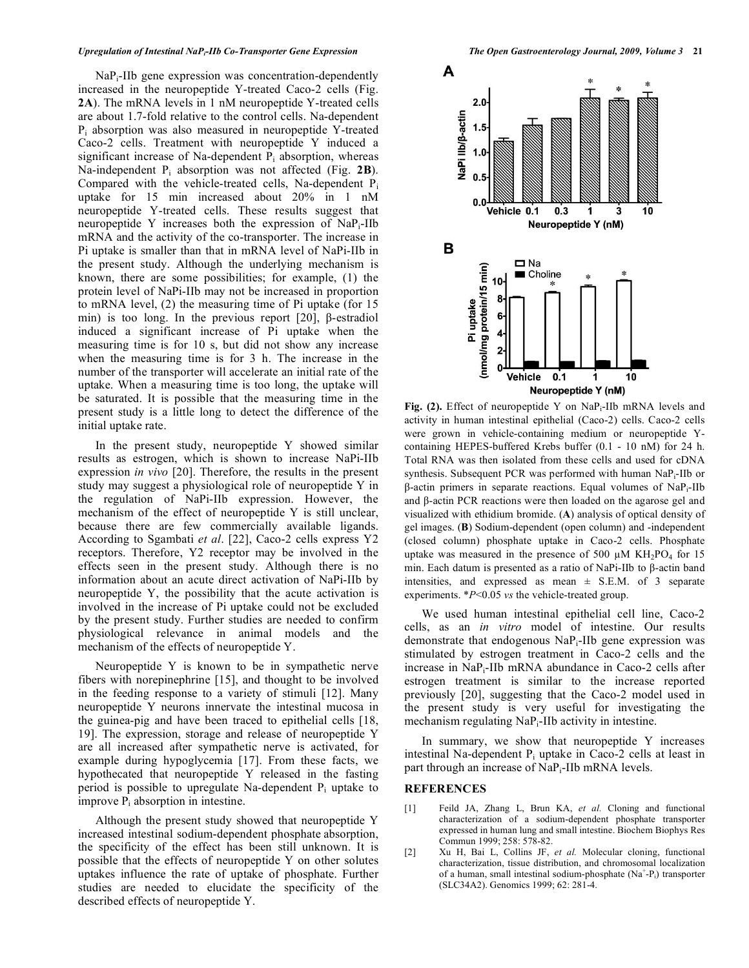## *Upregulation of Intestinal NaPi-IIb Co-Transporter Gene Expression The Open Gastroenterology Journal, 2009, Volume 3* **21**

 NaPi-IIb gene expression was concentration-dependently increased in the neuropeptide Y-treated Caco-2 cells (Fig. **2A**). The mRNA levels in 1 nM neuropeptide Y-treated cells are about 1.7-fold relative to the control cells. Na-dependent Pi absorption was also measured in neuropeptide Y-treated Caco-2 cells. Treatment with neuropeptide Y induced a significant increase of Na-dependent  $P_i$  absorption, whereas Na-independent Pi absorption was not affected (Fig. **2B**). Compared with the vehicle-treated cells, Na-dependent  $P_i$ uptake for 15 min increased about 20% in 1 nM neuropeptide Y-treated cells. These results suggest that neuropeptide Y increases both the expression of NaPi-IIb mRNA and the activity of the co-transporter. The increase in Pi uptake is smaller than that in mRNA level of NaPi-IIb in the present study. Although the underlying mechanism is known, there are some possibilities; for example, (1) the protein level of NaPi-IIb may not be increased in proportion to mRNA level, (2) the measuring time of Pi uptake (for 15 min) is too long. In the previous report [20],  $\beta$ -estradiol induced a significant increase of Pi uptake when the measuring time is for 10 s, but did not show any increase when the measuring time is for 3 h. The increase in the number of the transporter will accelerate an initial rate of the uptake. When a measuring time is too long, the uptake will be saturated. It is possible that the measuring time in the present study is a little long to detect the difference of the initial uptake rate.

 In the present study, neuropeptide Y showed similar results as estrogen, which is shown to increase NaPi-IIb expression *in vivo* [20]. Therefore, the results in the present study may suggest a physiological role of neuropeptide Y in the regulation of NaPi-IIb expression. However, the mechanism of the effect of neuropeptide Y is still unclear, because there are few commercially available ligands. According to Sgambati *et al*. [22], Caco-2 cells express Y2 receptors. Therefore, Y2 receptor may be involved in the effects seen in the present study. Although there is no information about an acute direct activation of NaPi-IIb by neuropeptide Y, the possibility that the acute activation is involved in the increase of Pi uptake could not be excluded by the present study. Further studies are needed to confirm physiological relevance in animal models and the mechanism of the effects of neuropeptide Y.

 Neuropeptide Y is known to be in sympathetic nerve fibers with norepinephrine [15], and thought to be involved in the feeding response to a variety of stimuli [12]. Many neuropeptide Y neurons innervate the intestinal mucosa in the guinea-pig and have been traced to epithelial cells [18, 19]. The expression, storage and release of neuropeptide Y are all increased after sympathetic nerve is activated, for example during hypoglycemia [17]. From these facts, we hypothecated that neuropeptide Y released in the fasting period is possible to upregulate Na-dependent  $P_i$  uptake to improve  $P_i$  absorption in intestine.

 Although the present study showed that neuropeptide Y increased intestinal sodium-dependent phosphate absorption, the specificity of the effect has been still unknown. It is possible that the effects of neuropeptide Y on other solutes uptakes influence the rate of uptake of phosphate. Further studies are needed to elucidate the specificity of the described effects of neuropeptide Y.



**Fig. (2).** Effect of neuropeptide Y on NaPi-IIb mRNA levels and activity in human intestinal epithelial (Caco-2) cells. Caco-2 cells were grown in vehicle-containing medium or neuropeptide Ycontaining HEPES-buffered Krebs buffer (0.1 - 10 nM) for 24 h. Total RNA was then isolated from these cells and used for cDNA synthesis. Subsequent PCR was performed with human NaP<sub>i</sub>-IIb or  $\beta$ -actin primers in separate reactions. Equal volumes of NaP<sub>i</sub>-IIb and  $\beta$ -actin PCR reactions were then loaded on the agarose gel and visualized with ethidium bromide. (**A**) analysis of optical density of gel images. (**B**) Sodium-dependent (open column) and -independent (closed column) phosphate uptake in Caco-2 cells. Phosphate uptake was measured in the presence of 500  $\mu$ M KH<sub>2</sub>PO<sub>4</sub> for 15 min. Each datum is presented as a ratio of NaPi-IIb to  $\beta$ -actin band intensities, and expressed as mean  $\pm$  S.E.M. of 3 separate experiments. \**P*<0.05 *vs* the vehicle-treated group.

 We used human intestinal epithelial cell line, Caco-2 cells, as an *in vitro* model of intestine. Our results demonstrate that endogenous NaPi-IIb gene expression was stimulated by estrogen treatment in Caco-2 cells and the increase in NaPi-IIb mRNA abundance in Caco-2 cells after estrogen treatment is similar to the increase reported previously [20], suggesting that the Caco-2 model used in the present study is very useful for investigating the mechanism regulating NaP<sub>i</sub>-IIb activity in intestine.

 In summary, we show that neuropeptide Y increases intestinal Na-dependent  $P_i$  uptake in Caco-2 cells at least in part through an increase of NaPi-IIb mRNA levels.

## **REFERENCES**

- [1] Feild JA, Zhang L, Brun KA, *et al.* Cloning and functional characterization of a sodium-dependent phosphate transporter expressed in human lung and small intestine. Biochem Biophys Res Commun 1999; 258: 578-82.
- [2] Xu H, Bai L, Collins JF, *et al.* Molecular cloning, functional characterization, tissue distribution, and chromosomal localization of a human, small intestinal sodium-phosphate  $(Na^+ - P_i)$  transporter (SLC34A2). Genomics 1999; 62: 281-4.